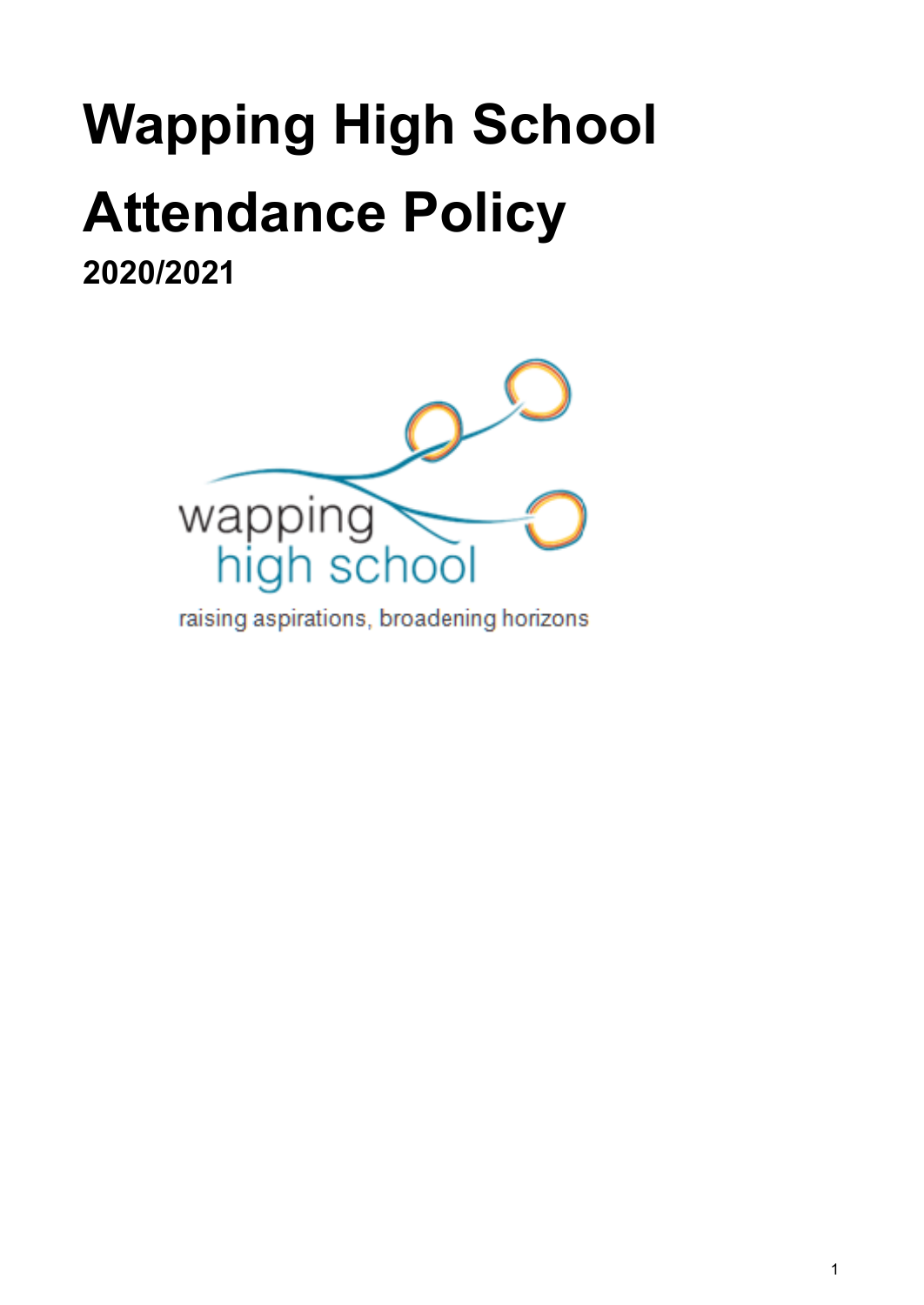# **Wapping High School Attendance Policy**

**2020/2021**



raising aspirations, broadening horizons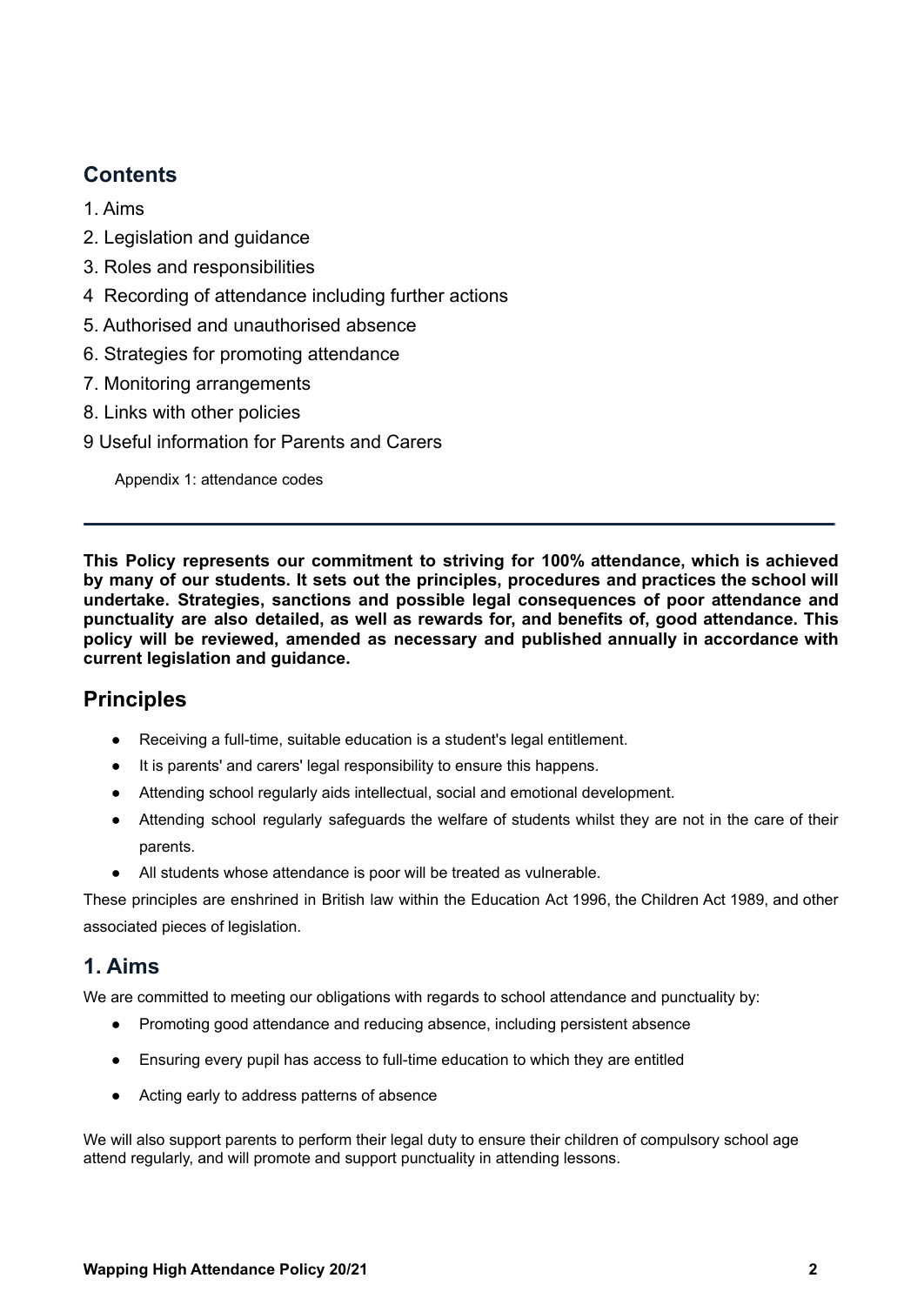# **Contents**

- [1. Aims](#page-1-0)
- 2. Legislation and guidance
- 3. Roles and responsibilities
- 4 Recording of attendance including further actions
- 5. Authorised and unauthorised absence
- [6. Strategies for promoting attendance](#page-8-0)
- 7[. Monitoring arrangements](#page-10-0)
- 8[. Links with other policies](#page-9-0)
- 9 Useful information for Parents and Carers

Appendix 1: attendance codes

<span id="page-1-0"></span>**This Policy represents our commitment to striving for 100% attendance, which is achieved by many of our students. It sets out the principles, procedures and practices the school will undertake. Strategies, sanctions and possible legal consequences of poor attendance and punctuality are also detailed, as well as rewards for, and benefits of, good attendance. This policy will be reviewed, amended as necessary and published annually in accordance with current legislation and guidance.**

# **Principles**

- Receiving a full-time, suitable education is a student's legal entitlement.
- It is parents' and carers' legal responsibility to ensure this happens.
- Attending school regularly aids intellectual, social and emotional development.
- Attending school regularly safeguards the welfare of students whilst they are not in the care of their parents.
- All students whose attendance is poor will be treated as vulnerable.

These principles are enshrined in British law within the Education Act 1996, the Children Act 1989, and other associated pieces of legislation.

## **1. Aims**

We are committed to meeting our obligations with regards to school attendance and punctuality by:

- Promoting good attendance and reducing absence, including persistent absence
- Ensuring every pupil has access to full-time education to which they are entitled
- Acting early to address patterns of absence

We will also support parents to perform their legal duty to ensure their children of compulsory school age attend regularly, and will promote and support punctuality in attending lessons.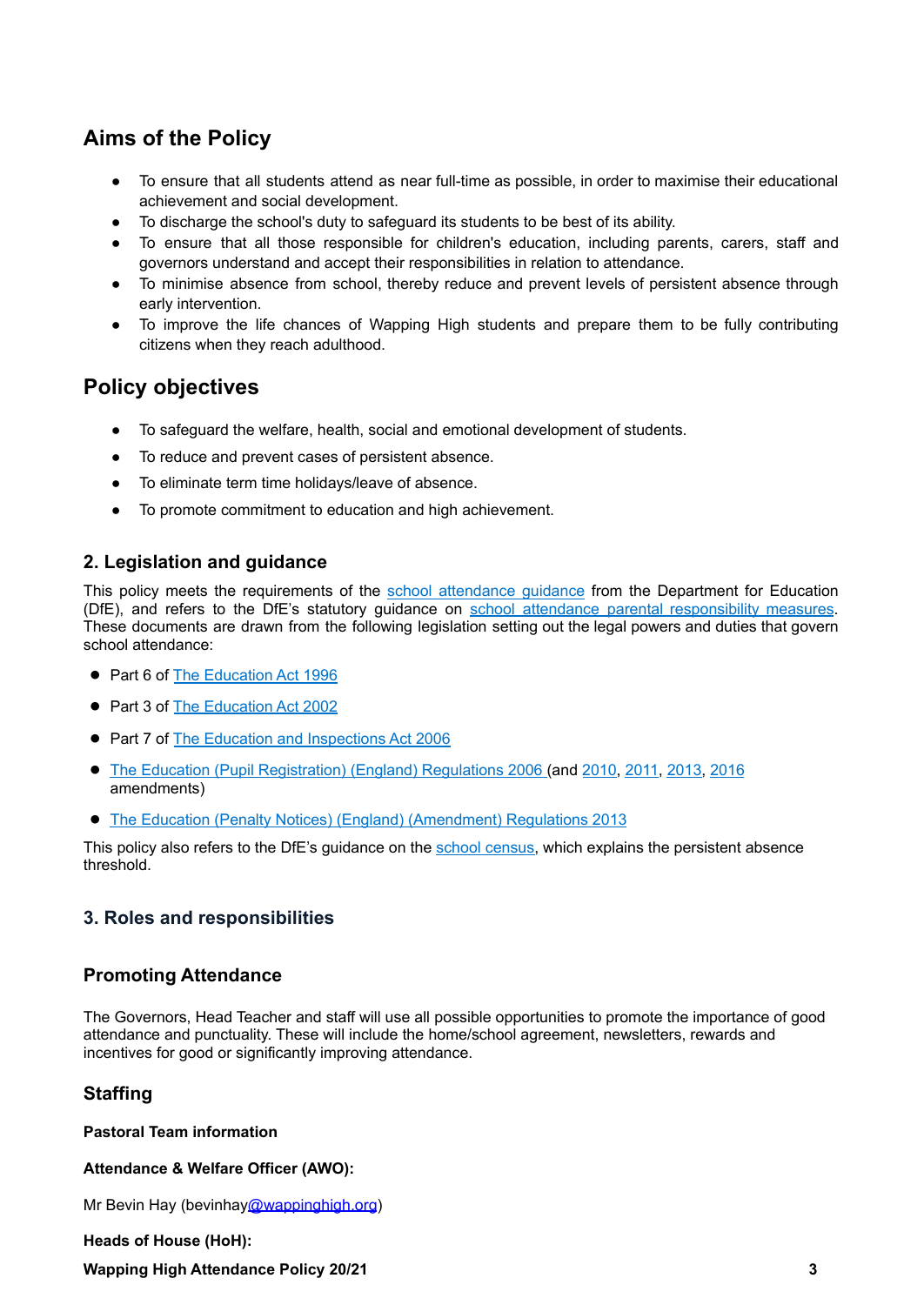# **Aims of the Policy**

- To ensure that all students attend as near full-time as possible, in order to maximise their educational achievement and social development.
- To discharge the school's duty to safeguard its students to be best of its ability.
- To ensure that all those responsible for children's education, including parents, carers, staff and governors understand and accept their responsibilities in relation to attendance.
- To minimise absence from school, thereby reduce and prevent levels of persistent absence through early intervention.
- To improve the life chances of Wapping High students and prepare them to be fully contributing citizens when they reach adulthood.

# **Policy objectives**

- To safeguard the welfare, health, social and emotional development of students.
- To reduce and prevent cases of persistent absence.
- To eliminate term time holidays/leave of absence.
- To promote commitment to education and high achievement.

## **2. Legislation and guidance**

This policy meets the requirements of the school [attendance](https://www.gov.uk/government/publications/school-attendance) guidance from the Department for Education (DfE), and refers to the DfE's statutory guidance on school attendance parental [responsibility](https://www.gov.uk/government/publications/parental-responsibility-measures-for-behaviour-and-attendance) measures. These documents are drawn from the following legislation setting out the legal powers and duties that govern school attendance:

- Part 6 of The [Education](https://www.legislation.gov.uk/ukpga/1996/56/part/VI/chapter/II) Act 1996
- Part 3 of The [Education](http://www.legislation.gov.uk/ukpga/2002/32/part/3/chapter/3) Act 2002
- Part 7 of The Education and [Inspections](http://www.legislation.gov.uk/ukpga/2006/40/part/7/chapter/2/crossheading/school-attendance) Act 2006
- The Education (Pupil [Registration\)](http://www.legislation.gov.uk/uksi/2006/1751/contents/made) (England) Regulations 2006 (and [2010,](https://www.legislation.gov.uk/uksi/2010/1725/regulation/2/made) [2011,](https://www.legislation.gov.uk/uksi/2011/1625/made) [2013,](https://www.legislation.gov.uk/uksi/2013/756/made) [2016](https://www.legislation.gov.uk/uksi/2016/792/made/data.html) amendments)
- The Education (Penalty Notices) (England) [\(Amendment\)](https://www.legislation.gov.uk/uksi/2013/757/regulation/2/made) Regulations 2013

This policy also refers to the DfE's guidance on the school [census,](https://www.gov.uk/guidance/complete-the-school-census) which explains the persistent absence threshold.

## **3. Roles and responsibilities**

## **Promoting Attendance**

The Governors, Head Teacher and staff will use all possible opportunities to promote the importance of good attendance and punctuality. These will include the home/school agreement, newsletters, rewards and incentives for good or significantly improving attendance.

## **Staffing**

**Pastoral Team information**

**Attendance & Welfare Officer (AWO):**

Mr Bevin Hay (bevinhay[@wappinghigh.org](mailto:janetari@wappinghigh.org))

**Heads of House (HoH): Wapping High Attendance Policy 20/21 3**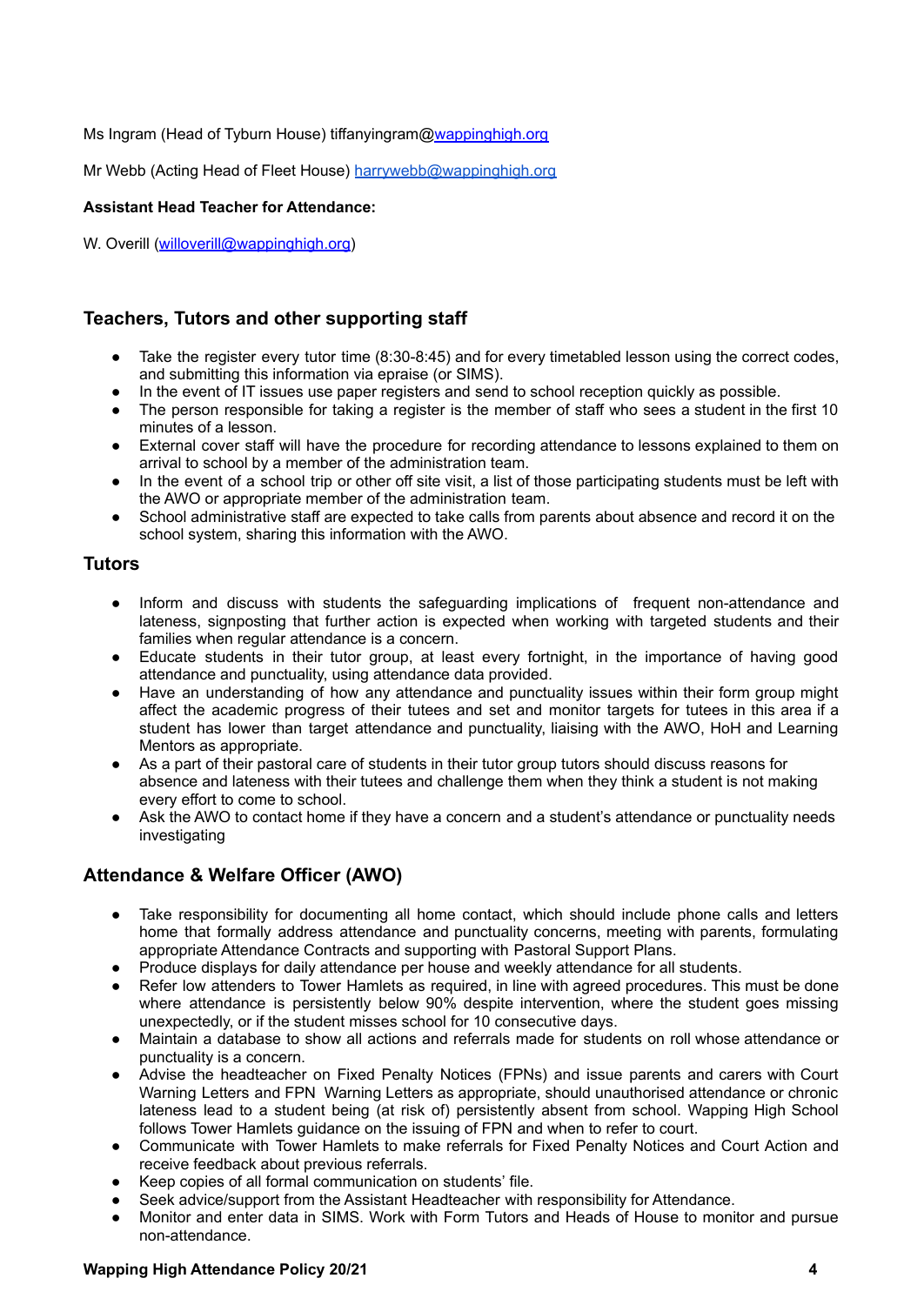Ms Ingram (Head of Tyburn House) tiffanyingram[@wappinghigh.org](mailto:serrraguler@wappinghigh.org)

Mr Webb (Acting Head of Fleet House) [harrywebb@wappinghigh.org](mailto:harrywebb@wappinghigh.org)

#### **Assistant Head Teacher for Attendance:**

W. Overill ([willoverill@wappinghigh.org](mailto:willoverill@wappinghigh.org))

## **Teachers, Tutors and other supporting staff**

- Take the register every tutor time (8:30-8:45) and for every timetabled lesson using the correct codes, and submitting this information via epraise (or SIMS).
- In the event of IT issues use paper registers and send to school reception quickly as possible.
- The person responsible for taking a register is the member of staff who sees a student in the first 10 minutes of a lesson.
- External cover staff will have the procedure for recording attendance to lessons explained to them on arrival to school by a member of the administration team.
- In the event of a school trip or other off site visit, a list of those participating students must be left with the AWO or appropriate member of the administration team.
- School administrative staff are expected to take calls from parents about absence and record it on the school system, sharing this information with the AWO.

## **Tutors**

- Inform and discuss with students the safeguarding implications of frequent non-attendance and lateness, signposting that further action is expected when working with targeted students and their families when regular attendance is a concern.
- Educate students in their tutor group, at least every fortnight, in the importance of having good attendance and punctuality, using attendance data provided.
- Have an understanding of how any attendance and punctuality issues within their form group might affect the academic progress of their tutees and set and monitor targets for tutees in this area if a student has lower than target attendance and punctuality, liaising with the AWO, HoH and Learning Mentors as appropriate.
- As a part of their pastoral care of students in their tutor group tutors should discuss reasons for absence and lateness with their tutees and challenge them when they think a student is not making every effort to come to school.
- Ask the AWO to contact home if they have a concern and a student's attendance or punctuality needs investigating

## **Attendance & Welfare Officer (AWO)**

- Take responsibility for documenting all home contact, which should include phone calls and letters home that formally address attendance and punctuality concerns, meeting with parents, formulating appropriate Attendance Contracts and supporting with Pastoral Support Plans.
- Produce displays for daily attendance per house and weekly attendance for all students.
- Refer low attenders to Tower Hamlets as required, in line with agreed procedures. This must be done where attendance is persistently below 90% despite intervention, where the student goes missing unexpectedly, or if the student misses school for 10 consecutive days.
- Maintain a database to show all actions and referrals made for students on roll whose attendance or punctuality is a concern.
- Advise the headteacher on Fixed Penalty Notices (FPNs) and issue parents and carers with Court Warning Letters and FPN Warning Letters as appropriate, should unauthorised attendance or chronic lateness lead to a student being (at risk of) persistently absent from school. Wapping High School follows Tower Hamlets guidance on the issuing of FPN and when to refer to court.
- Communicate with Tower Hamlets to make referrals for Fixed Penalty Notices and Court Action and receive feedback about previous referrals.
- Keep copies of all formal communication on students' file.
- Seek advice/support from the Assistant Headteacher with responsibility for Attendance.
- Monitor and enter data in SIMS. Work with Form Tutors and Heads of House to monitor and pursue non-attendance.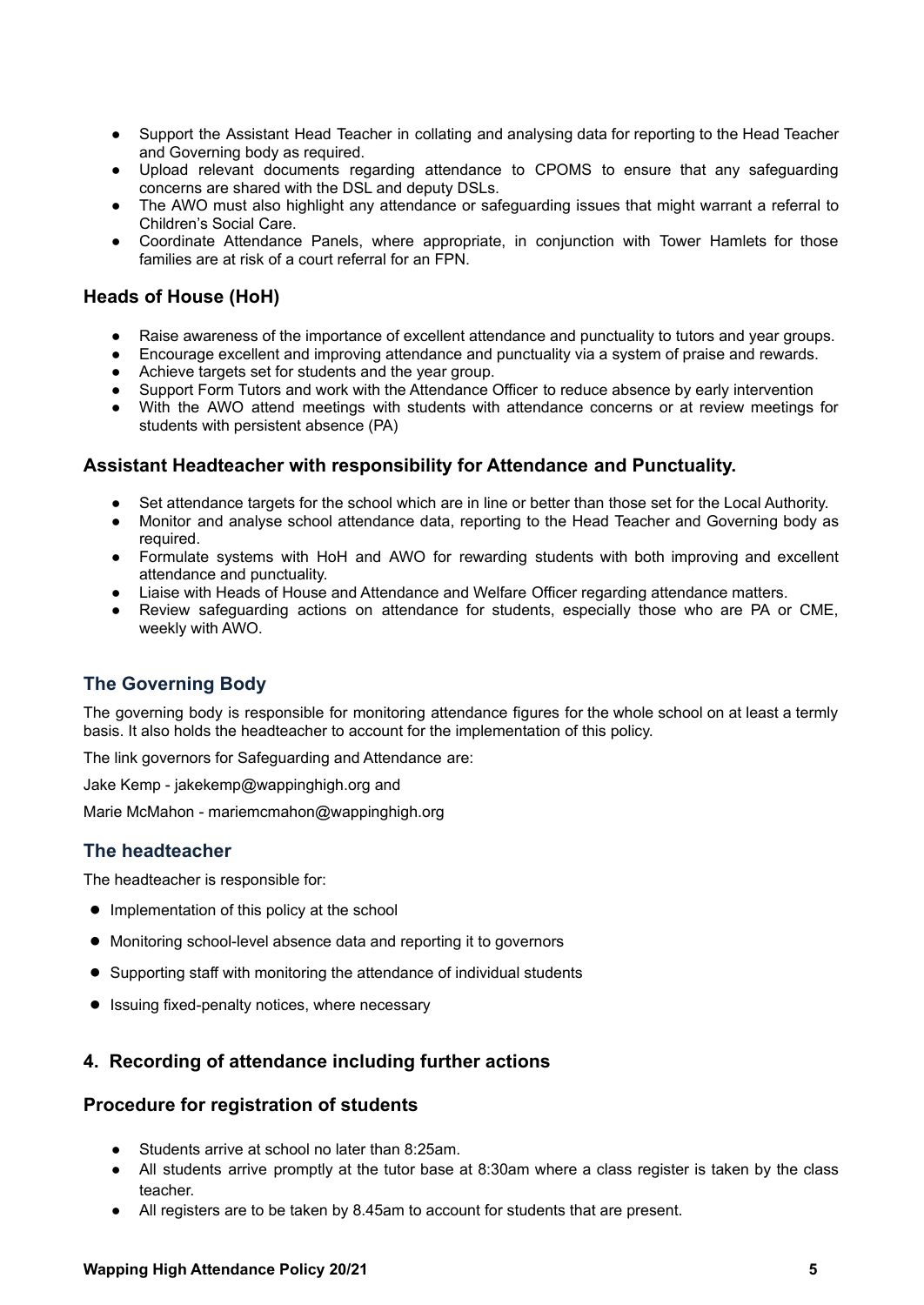- Support the Assistant Head Teacher in collating and analysing data for reporting to the Head Teacher and Governing body as required.
- Upload relevant documents regarding attendance to CPOMS to ensure that any safeguarding concerns are shared with the DSL and deputy DSLs.
- The AWO must also highlight any attendance or safeguarding issues that might warrant a referral to Children's Social Care.
- Coordinate Attendance Panels, where appropriate, in conjunction with Tower Hamlets for those families are at risk of a court referral for an FPN.

## **Heads of House (HoH)**

- Raise awareness of the importance of excellent attendance and punctuality to tutors and year groups.
- Encourage excellent and improving attendance and punctuality via a system of praise and rewards.
- Achieve targets set for students and the year group.
- Support Form Tutors and work with the Attendance Officer to reduce absence by early intervention
- With the AWO attend meetings with students with attendance concerns or at review meetings for students with persistent absence (PA)

## **Assistant Headteacher with responsibility for Attendance and Punctuality.**

- Set attendance targets for the school which are in line or better than those set for the Local Authority.
- Monitor and analyse school attendance data, reporting to the Head Teacher and Governing body as required.
- Formulate systems with HoH and AWO for rewarding students with both improving and excellent attendance and punctuality.
- Liaise with Heads of House and Attendance and Welfare Officer regarding attendance matters.
- Review safeguarding actions on attendance for students, especially those who are PA or CME, weekly with AWO.

## **The Governing Body**

The governing body is responsible for monitoring attendance figures for the whole school on at least a termly basis. It also holds the headteacher to account for the implementation of this policy.

The link governors for Safeguarding and Attendance are:

Jake Kemp - jakekemp@wappinghigh.org and

Marie McMahon - mariemcmahon@wappinghigh.org

## **The headteacher**

The headteacher is responsible for:

- Implementation of this policy at the school
- Monitoring school-level absence data and reporting it to governors
- Supporting staff with monitoring the attendance of individual students
- Issuing fixed-penalty notices, where necessary

## **4. Recording of attendance including further actions**

## **Procedure for registration of students**

- Students arrive at school no later than 8:25am.
- All students arrive promptly at the tutor base at 8:30am where a class register is taken by the class teacher.
- All registers are to be taken by 8.45am to account for students that are present.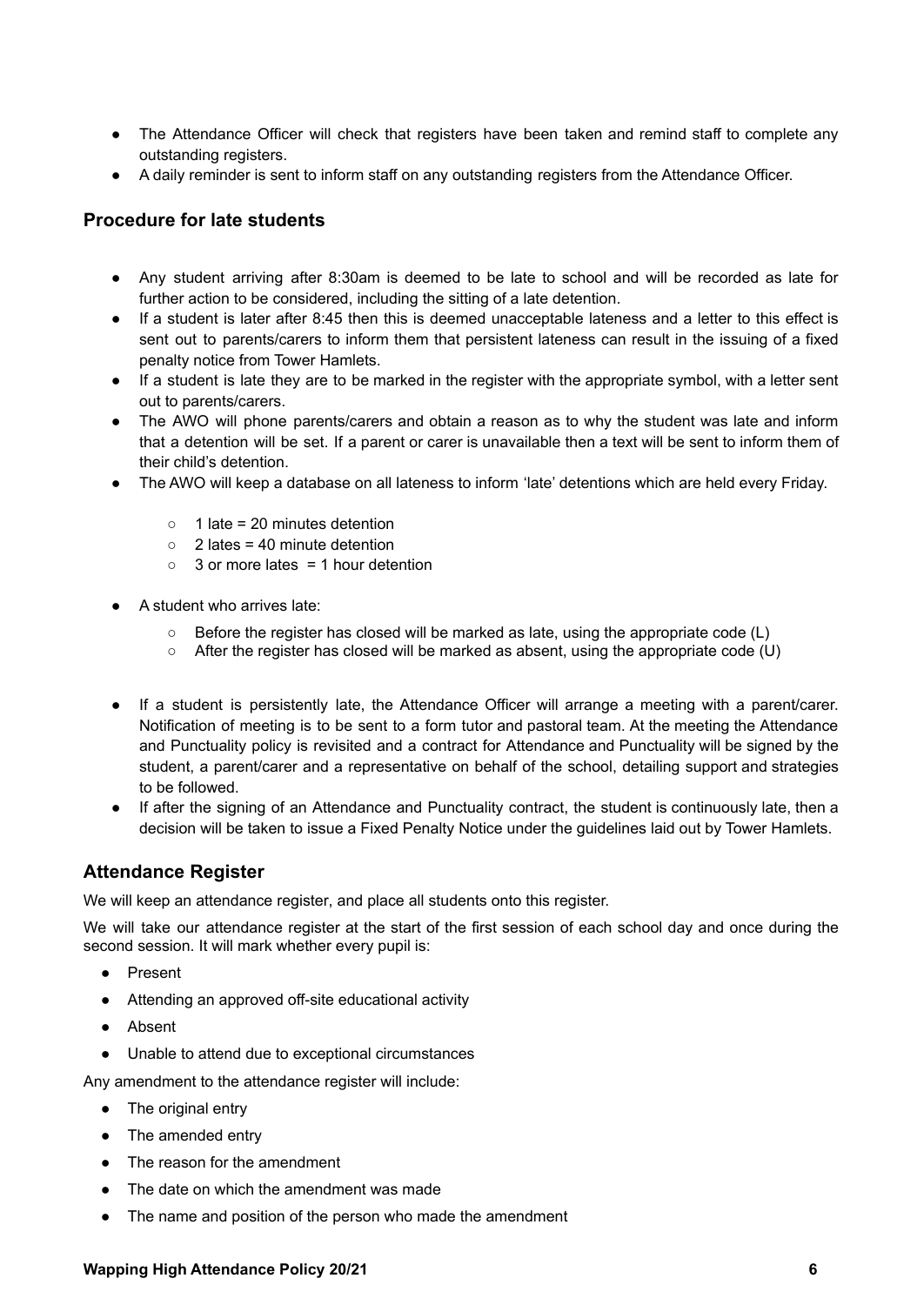- The Attendance Officer will check that registers have been taken and remind staff to complete any outstanding registers.
- A daily reminder is sent to inform staff on any outstanding registers from the Attendance Officer.

### **Procedure for late students**

- Any student arriving after 8:30am is deemed to be late to school and will be recorded as late for further action to be considered, including the sitting of a late detention.
- If a student is later after 8:45 then this is deemed unacceptable lateness and a letter to this effect is sent out to parents/carers to inform them that persistent lateness can result in the issuing of a fixed penalty notice from Tower Hamlets.
- If a student is late they are to be marked in the register with the appropriate symbol, with a letter sent out to parents/carers.
- The AWO will phone parents/carers and obtain a reason as to why the student was late and inform that a detention will be set. If a parent or carer is unavailable then a text will be sent to inform them of their child's detention.
- The AWO will keep a database on all lateness to inform 'late' detentions which are held every Friday.
	- $\circ$  1 late = 20 minutes detention
	- $\circ$  2 lates = 40 minute detention
	- $\circ$  3 or more lates = 1 hour detention
- A student who arrives late:
	- Before the register has closed will be marked as late, using the appropriate code (L)
	- After the register has closed will be marked as absent, using the appropriate code (U)
- If a student is persistently late, the Attendance Officer will arrange a meeting with a parent/carer. Notification of meeting is to be sent to a form tutor and pastoral team. At the meeting the Attendance and Punctuality policy is revisited and a contract for Attendance and Punctuality will be signed by the student, a parent/carer and a representative on behalf of the school, detailing support and strategies to be followed.
- If after the signing of an Attendance and Punctuality contract, the student is continuously late, then a decision will be taken to issue a Fixed Penalty Notice under the guidelines laid out by Tower Hamlets.

## **Attendance Register**

We will keep an attendance register, and place all students onto this register.

We will take our attendance register at the start of the first session of each school day and once during the second session. It will mark whether every pupil is:

- Present
- Attending an approved off-site educational activity
- Absent
- Unable to attend due to exceptional circumstances

Any amendment to the attendance register will include:

- The original entry
- The amended entry
- The reason for the amendment
- The date on which the amendment was made
- The name and position of the person who made the amendment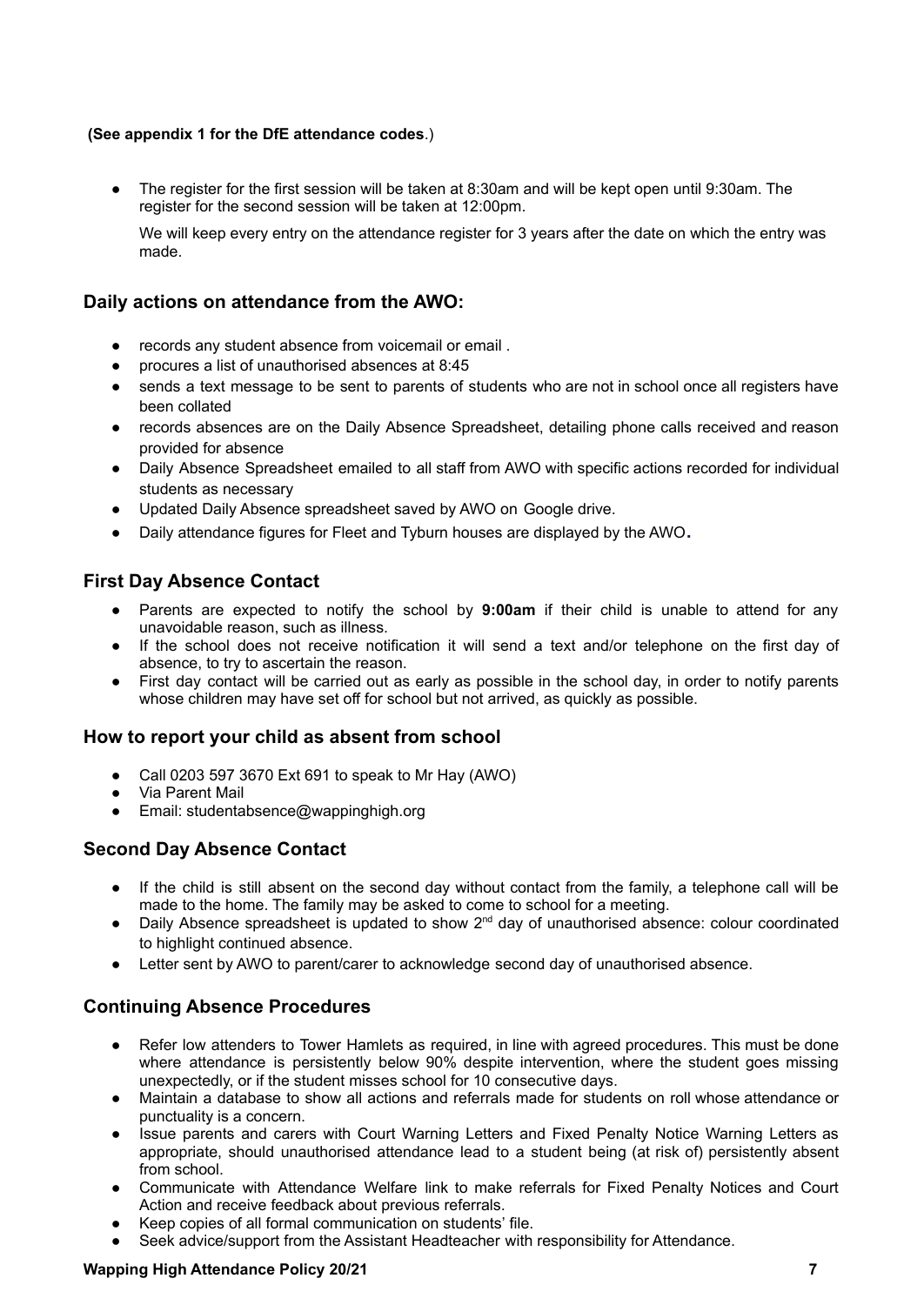### **(See appendix 1 for the DfE attendance codes**.)

The register for the first session will be taken at 8:30am and will be kept open until 9:30am. The register for the second session will be taken at 12:00pm.

We will keep every entry on the attendance register for 3 years after the date on which the entry was made.

## **Daily actions on attendance from the AWO:**

- records any student absence from voicemail or email .
- procures a list of unauthorised absences at 8:45
- sends a text message to be sent to parents of students who are not in school once all registers have been collated
- records absences are on the Daily Absence Spreadsheet, detailing phone calls received and reason provided for absence
- Daily Absence Spreadsheet emailed to all staff from AWO with specific actions recorded for individual students as necessary
- Updated Daily Absence spreadsheet saved by AWO on Google drive.
- Daily attendance figures for Fleet and Tyburn houses are displayed by the AWO**.**

## **First Day Absence Contact**

- Parents are expected to notify the school by **9:00am** if their child is unable to attend for any unavoidable reason, such as illness.
- If the school does not receive notification it will send a text and/or telephone on the first day of absence, to try to ascertain the reason.
- First day contact will be carried out as early as possible in the school day, in order to notify parents whose children may have set off for school but not arrived, as quickly as possible.

## **How to report your child as absent from school**

- Call 0203 597 3670 Ext 691 to speak to Mr Hay (AWO)
- Via Parent Mail
- Email: studentabsence@wappinghigh.org

## **Second Day Absence Contact**

- If the child is still absent on the second day without contact from the family, a telephone call will be made to the home. The family may be asked to come to school for a meeting.
- Daily Absence spreadsheet is updated to show  $2<sup>nd</sup>$  day of unauthorised absence: colour coordinated to highlight continued absence.
- Letter sent by AWO to parent/carer to acknowledge second day of unauthorised absence.

## **Continuing Absence Procedures**

- Refer low attenders to Tower Hamlets as required, in line with agreed procedures. This must be done where attendance is persistently below 90% despite intervention, where the student goes missing unexpectedly, or if the student misses school for 10 consecutive days.
- Maintain a database to show all actions and referrals made for students on roll whose attendance or punctuality is a concern.
- Issue parents and carers with Court Warning Letters and Fixed Penalty Notice Warning Letters as appropriate, should unauthorised attendance lead to a student being (at risk of) persistently absent from school.
- Communicate with Attendance Welfare link to make referrals for Fixed Penalty Notices and Court Action and receive feedback about previous referrals.
- Keep copies of all formal communication on students' file.
- Seek advice/support from the Assistant Headteacher with responsibility for Attendance.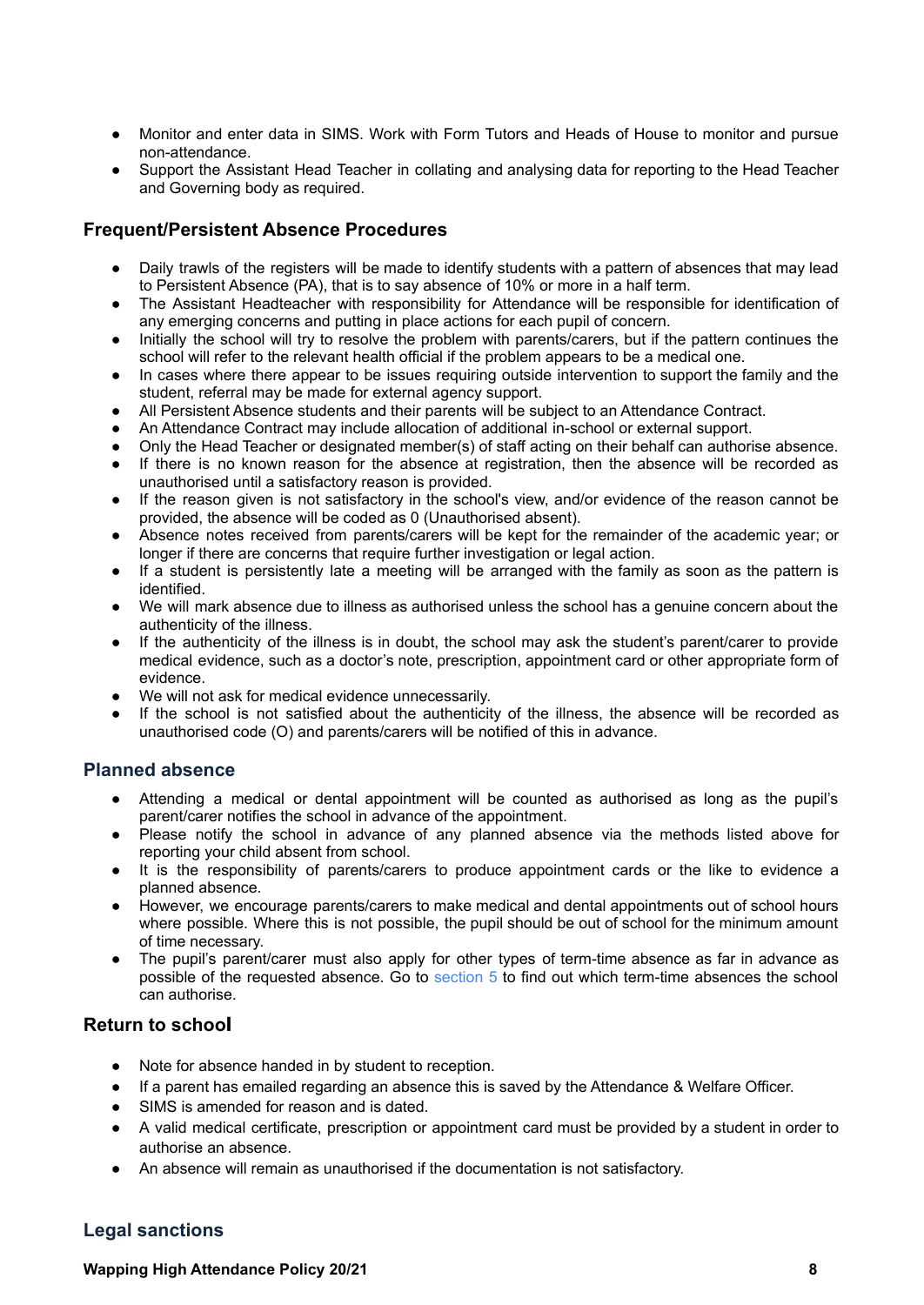- Monitor and enter data in SIMS. Work with Form Tutors and Heads of House to monitor and pursue non-attendance.
- Support the Assistant Head Teacher in collating and analysing data for reporting to the Head Teacher and Governing body as required.

## **Frequent/Persistent Absence Procedures**

- Daily trawls of the registers will be made to identify students with a pattern of absences that may lead to Persistent Absence (PA), that is to say absence of 10% or more in a half term.
- The Assistant Headteacher with responsibility for Attendance will be responsible for identification of any emerging concerns and putting in place actions for each pupil of concern.
- Initially the school will try to resolve the problem with parents/carers, but if the pattern continues the school will refer to the relevant health official if the problem appears to be a medical one.
- In cases where there appear to be issues requiring outside intervention to support the family and the student, referral may be made for external agency support.
- All Persistent Absence students and their parents will be subject to an Attendance Contract.
- An Attendance Contract may include allocation of additional in-school or external support.
- Only the Head Teacher or designated member(s) of staff acting on their behalf can authorise absence.
- If there is no known reason for the absence at registration, then the absence will be recorded as unauthorised until a satisfactory reason is provided.
- If the reason given is not satisfactory in the school's view, and/or evidence of the reason cannot be provided, the absence will be coded as 0 (Unauthorised absent).
- Absence notes received from parents/carers will be kept for the remainder of the academic year; or longer if there are concerns that require further investigation or legal action.
- If a student is persistently late a meeting will be arranged with the family as soon as the pattern is identified.
- We will mark absence due to illness as authorised unless the school has a genuine concern about the authenticity of the illness.
- If the authenticity of the illness is in doubt, the school may ask the student's parent/carer to provide medical evidence, such as a doctor's note, prescription, appointment card or other appropriate form of evidence.
- We will not ask for medical evidence unnecessarily.
- If the school is not satisfied about the authenticity of the illness, the absence will be recorded as unauthorised code (O) and parents/carers will be notified of this in advance.

## **Planned absence**

- Attending a medical or dental appointment will be counted as authorised as long as the pupil's parent/carer notifies the school in advance of the appointment.
- Please notify the school in advance of any planned absence via the methods listed above for reporting your child absent from school.
- It is the responsibility of parents/carers to produce appointment cards or the like to evidence a planned absence.
- However, we encourage parents/carers to make medical and dental appointments out of school hours where possible. Where this is not possible, the pupil should be out of school for the minimum amount of time necessary.
- The pupil's parent/carer must also apply for other types of term-time absence as far in advance as possible of the requested absence. Go to section 5 to find out which term-time absences the school can authorise.

## **Return to school**

- Note for absence handed in by student to reception.
- If a parent has emailed regarding an absence this is saved by the Attendance & Welfare Officer.
- SIMS is amended for reason and is dated.
- A valid medical certificate, prescription or appointment card must be provided by a student in order to authorise an absence.
- An absence will remain as unauthorised if the documentation is not satisfactory.

## **Legal sanctions**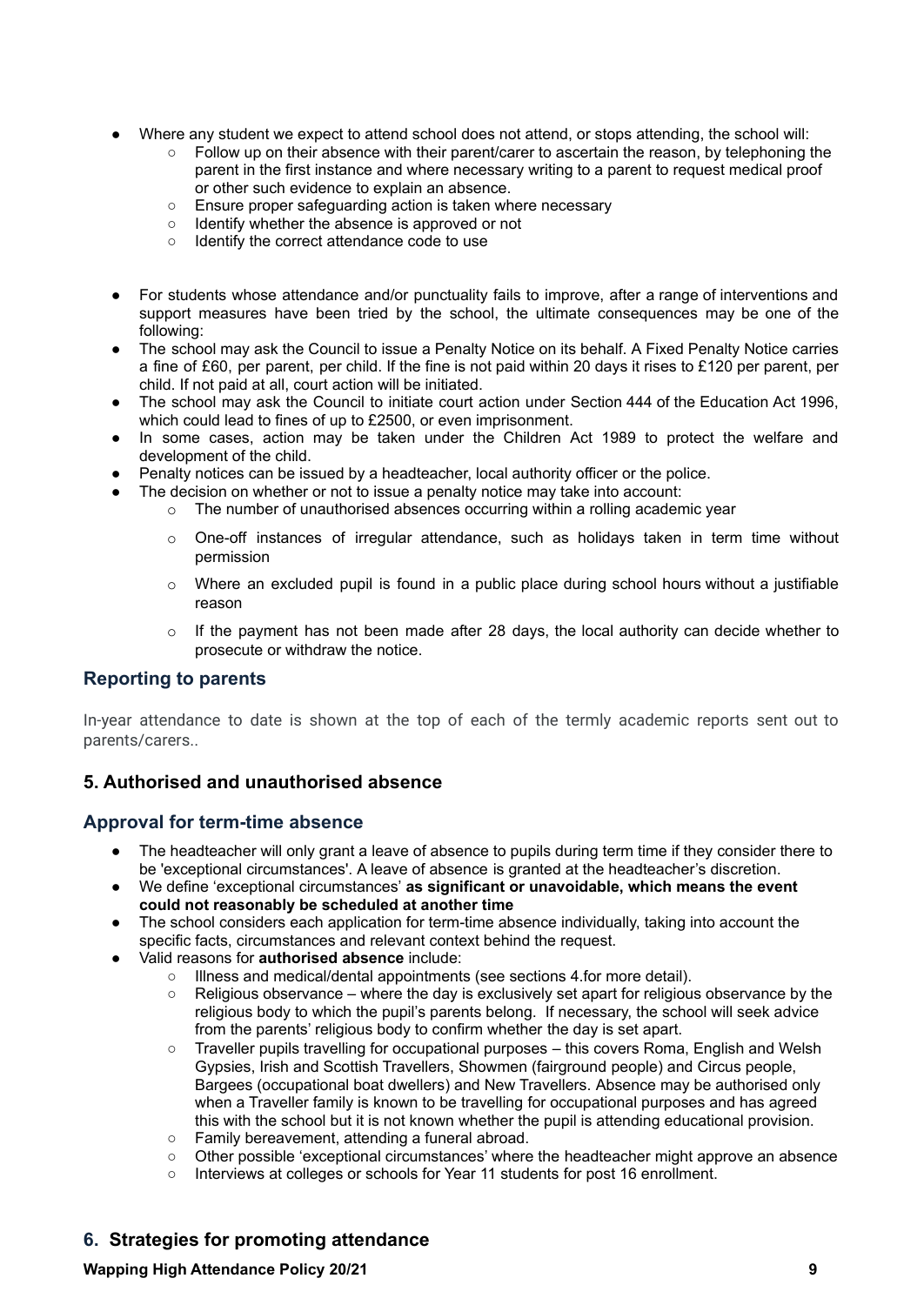- Where any student we expect to attend school does not attend, or stops attending, the school will:
	- $\circ$  Follow up on their absence with their parent/carer to ascertain the reason, by telephoning the parent in the first instance and where necessary writing to a parent to request medical proof or other such evidence to explain an absence.
	- Ensure proper safeguarding action is taken where necessary
	- Identify whether the absence is approved or not
	- Identify the correct attendance code to use
- For students whose attendance and/or punctuality fails to improve, after a range of interventions and support measures have been tried by the school, the ultimate consequences may be one of the following:
- The school may ask the Council to issue a Penalty Notice on its behalf. A Fixed Penalty Notice carries a fine of £60, per parent, per child. If the fine is not paid within 20 days it rises to £120 per parent, per child. If not paid at all, court action will be initiated.
- The school may ask the Council to initiate court action under Section 444 of the Education Act 1996, which could lead to fines of up to £2500, or even imprisonment.
- In some cases, action may be taken under the Children Act 1989 to protect the welfare and development of the child.
- Penalty notices can be issued by a headteacher, local authority officer or the police.
	- The decision on whether or not to issue a penalty notice may take into account:
		- $\circ$  The number of unauthorised absences occurring within a rolling academic year
			- $\circ$  One-off instances of irregular attendance, such as holidays taken in term time without permission
			- o Where an excluded pupil is found in a public place during school hours without a justifiable reason
			- $\circ$  If the payment has not been made after 28 days, the local authority can decide whether to prosecute or withdraw the notice.

## <span id="page-8-0"></span>**Reporting to parents**

In-year attendance to date is shown at the top of each of the termly academic reports sent out to parents/carers..

## **5. Authorised and unauthorised absence**

## **Approval for term-time absence**

- The headteacher will only grant a leave of absence to pupils during term time if they consider there to be 'exceptional circumstances'. A leave of absence is granted at the headteacher's discretion.
- We define 'exceptional circumstances' **as significant or unavoidable, which means the event could not reasonably be scheduled at another time**
- The school considers each application for term-time absence individually, taking into account the specific facts, circumstances and relevant context behind the request.
- Valid reasons for **authorised absence** include:
	- Illness and medical/dental appointments (see sections 4.for more detail).
	- $\circ$  Religious observance where the day is exclusively set apart for religious observance by the religious body to which the pupil's parents belong. If necessary, the school will seek advice from the parents' religious body to confirm whether the day is set apart.
	- Traveller pupils travelling for occupational purposes this covers Roma, English and Welsh Gypsies, Irish and Scottish Travellers, Showmen (fairground people) and Circus people, Bargees (occupational boat dwellers) and New Travellers. Absence may be authorised only when a Traveller family is known to be travelling for occupational purposes and has agreed this with the school but it is not known whether the pupil is attending educational provision.
	- Family bereavement, attending a funeral abroad.
	- Other possible 'exceptional circumstances' where the headteacher might approve an absence
	- Interviews at colleges or schools for Year 11 students for post 16 enrollment.

## **6. Strategies for promoting attendance**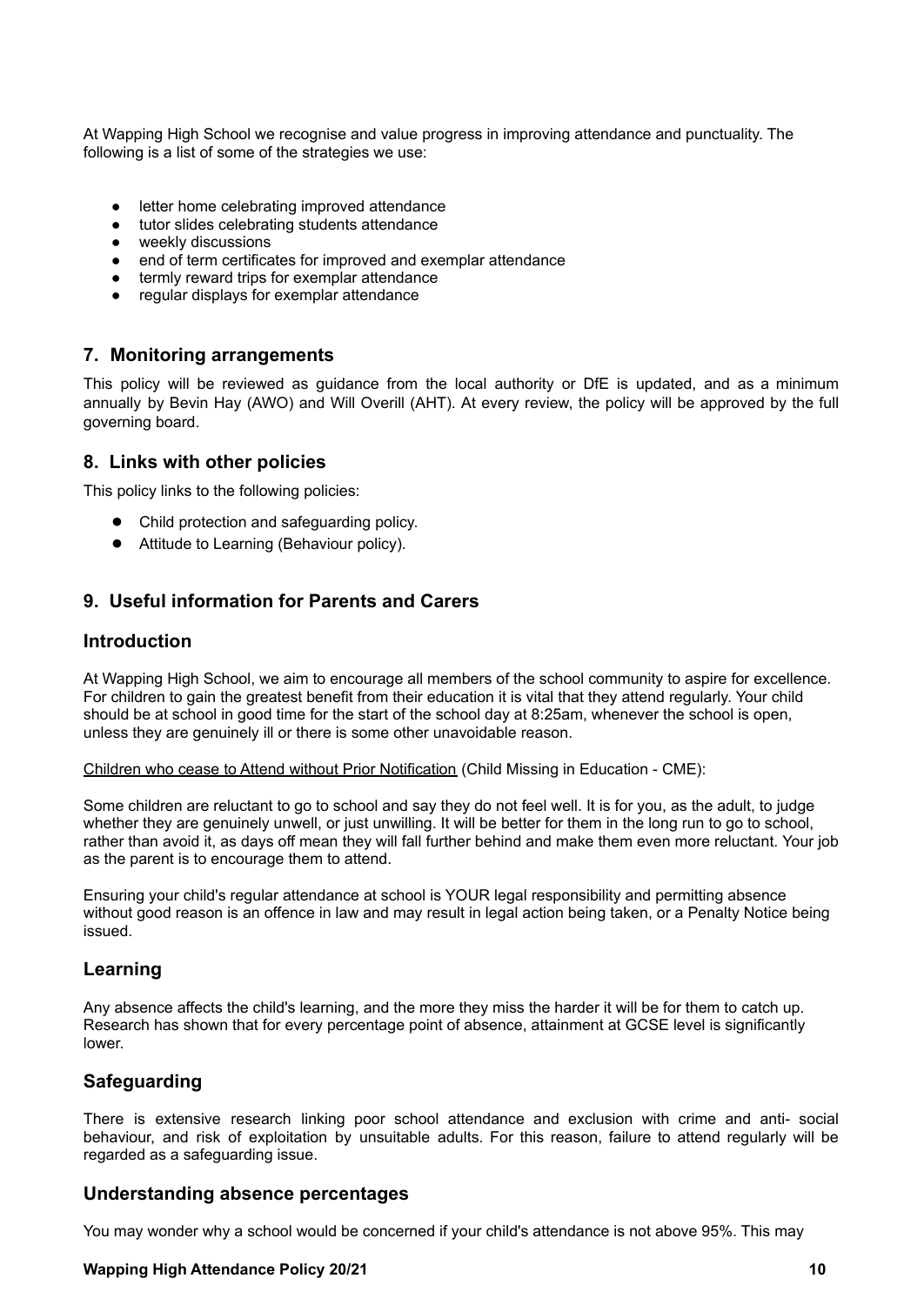At Wapping High School we recognise and value progress in improving attendance and punctuality. The following is a list of some of the strategies we use:

- letter home celebrating improved attendance
- tutor slides celebrating students attendance
- weekly discussions
- end of term certificates for improved and exemplar attendance
- termly reward trips for exemplar attendance
- regular displays for exemplar attendance

## **7. Monitoring arrangements**

<span id="page-9-0"></span>This policy will be reviewed as guidance from the local authority or DfE is updated, and as a minimum annually by Bevin Hay (AWO) and Will Overill (AHT). At every review, the policy will be approved by the full governing board.

#### **8. Links with other policies**

This policy links to the following policies:

- Child protection and safeguarding policy.
- Attitude to Learning (Behaviour policy).

## **9. Useful information for Parents and Carers**

#### **Introduction**

At Wapping High School, we aim to encourage all members of the school community to aspire for excellence. For children to gain the greatest benefit from their education it is vital that they attend regularly. Your child should be at school in good time for the start of the school day at 8:25am, whenever the school is open, unless they are genuinely ill or there is some other unavoidable reason.

Children who cease to Attend without Prior Notification (Child Missing in Education - CME):

Some children are reluctant to go to school and say they do not feel well. It is for you, as the adult, to judge whether they are genuinely unwell, or just unwilling. It will be better for them in the long run to go to school, rather than avoid it, as days off mean they will fall further behind and make them even more reluctant. Your job as the parent is to encourage them to attend.

Ensuring your child's regular attendance at school is YOUR legal responsibility and permitting absence without good reason is an offence in law and may result in legal action being taken, or a Penalty Notice being issued.

## **Learning**

Any absence affects the child's learning, and the more they miss the harder it will be for them to catch up. Research has shown that for every percentage point of absence, attainment at GCSE level is significantly lower.

## **Safeguarding**

There is extensive research linking poor school attendance and exclusion with crime and anti- social behaviour, and risk of exploitation by unsuitable adults. For this reason, failure to attend regularly will be regarded as a safeguarding issue.

#### **Understanding absence percentages**

You may wonder why a school would be concerned if your child's attendance is not above 95%. This may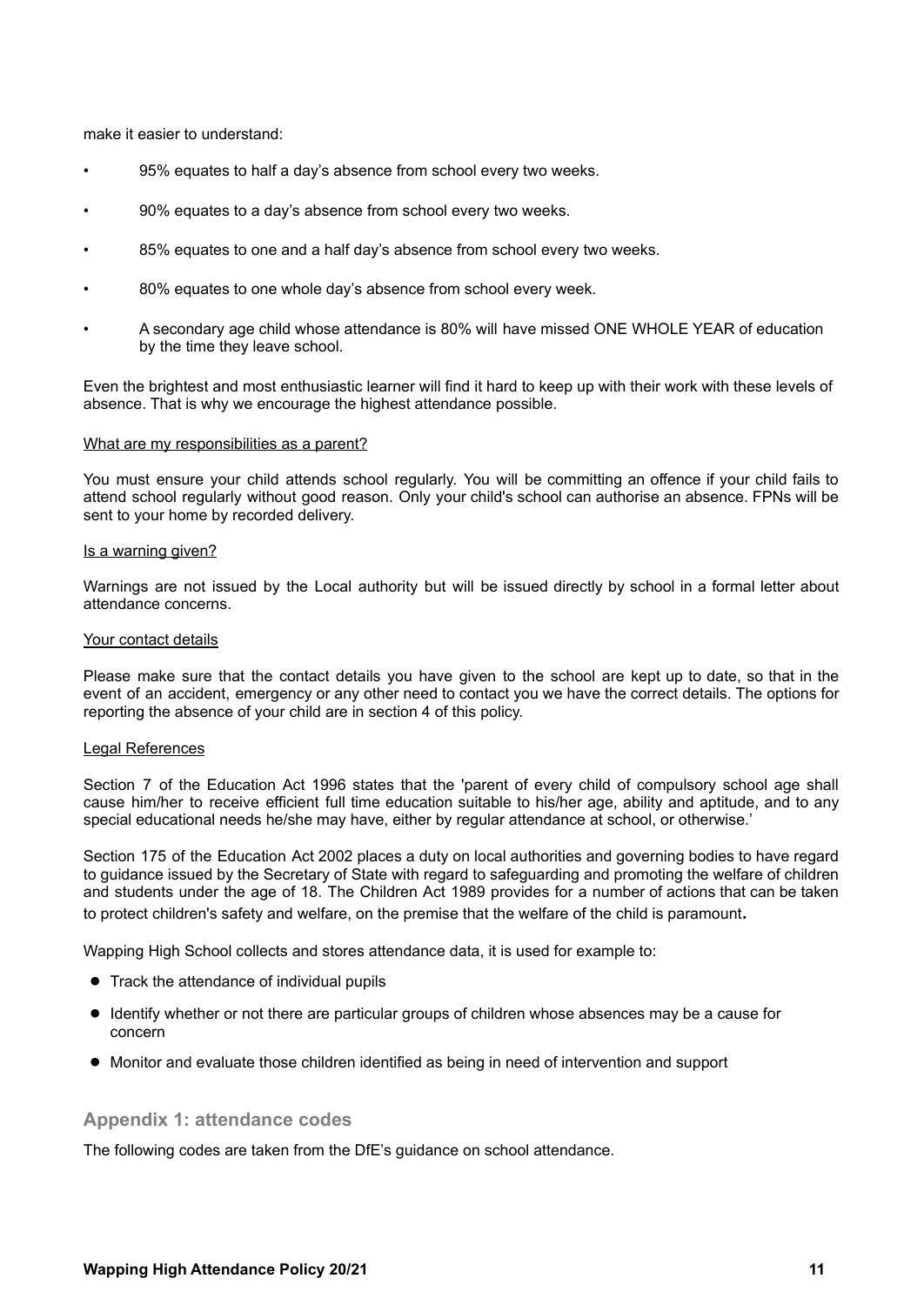make it easier to understand:

- 95% equates to half a day's absence from school every two weeks.
- 90% equates to a day's absence from school every two weeks.
- 85% equates to one and a half day's absence from school every two weeks.
- 80% equates to one whole day's absence from school every week.
- A secondary age child whose attendance is 80% will have missed ONE WHOLE YEAR of education by the time they leave school.

Even the brightest and most enthusiastic learner will find it hard to keep up with their work with these levels of absence. That is why we encourage the highest attendance possible.

#### What are my responsibilities as a parent?

You must ensure your child attends school regularly. You will be committing an offence if your child fails to attend school regularly without good reason. Only your child's school can authorise an absence. FPNs will be sent to your home by recorded delivery.

#### Is a warning given?

Warnings are not issued by the Local authority but will be issued directly by school in a formal letter about attendance concerns.

#### Your contact details

Please make sure that the contact details you have given to the school are kept up to date, so that in the event of an accident, emergency or any other need to contact you we have the correct details. The options for reporting the absence of your child are in section 4 of this policy.

#### Legal References

Section 7 of the Education Act 1996 states that the 'parent of every child of compulsory school age shall cause him/her to receive efficient full time education suitable to his/her age, ability and aptitude, and to any special educational needs he/she may have, either by regular attendance at school, or otherwise.'

Section 175 of the Education Act 2002 places a duty on local authorities and governing bodies to have regard to guidance issued by the Secretary of State with regard to safeguarding and promoting the welfare of children and students under the age of 18. The Children Act 1989 provides for a number of actions that can be taken to protect children's safety and welfare, on the premise that the welfare of the child is paramount.

Wapping High School collects and stores attendance data, it is used for example to:

- Track the attendance of individual pupils
- Identify whether or not there are particular groups of children whose absences may be a cause for concern
- <span id="page-10-0"></span>● Monitor and evaluate those children identified as being in need of intervention and support

#### **Appendix 1: attendance codes**

The following codes are taken from the DfE's guidance on school attendance.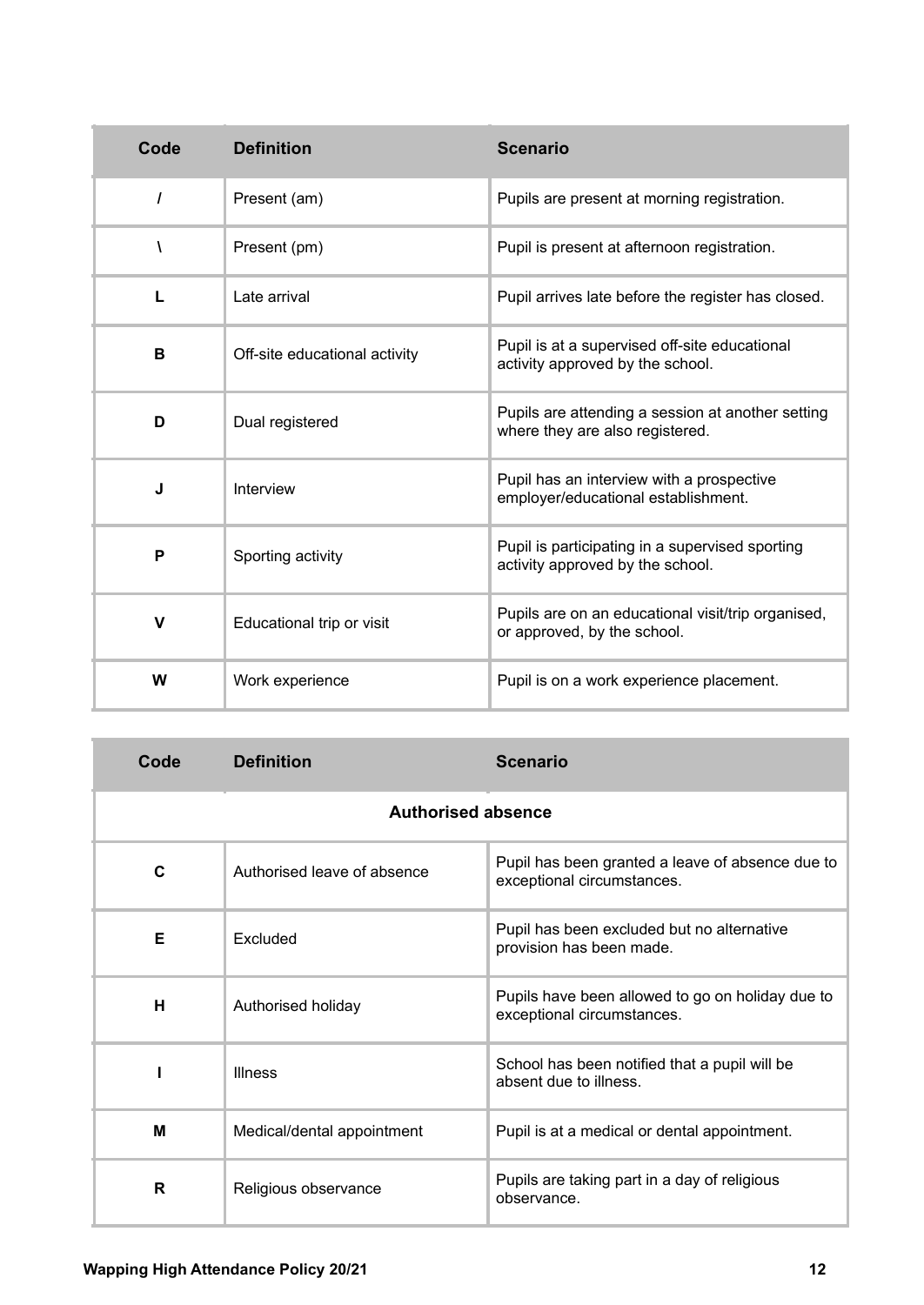| Code         | <b>Definition</b>             | <b>Scenario</b>                                                                      |
|--------------|-------------------------------|--------------------------------------------------------------------------------------|
| $\prime$     | Present (am)                  | Pupils are present at morning registration.                                          |
| V            | Present (pm)                  | Pupil is present at afternoon registration.                                          |
| $\mathbf{I}$ | Late arrival                  | Pupil arrives late before the register has closed.                                   |
| B            | Off-site educational activity | Pupil is at a supervised off-site educational<br>activity approved by the school.    |
| D            | Dual registered               | Pupils are attending a session at another setting<br>where they are also registered. |
| J            | Interview                     | Pupil has an interview with a prospective<br>employer/educational establishment.     |
| P            | Sporting activity             | Pupil is participating in a supervised sporting<br>activity approved by the school.  |
| V            | Educational trip or visit     | Pupils are on an educational visit/trip organised,<br>or approved, by the school.    |
| W            | Work experience               | Pupil is on a work experience placement.                                             |

| Code                      | <b>Definition</b>           | <b>Scenario</b>                                                                |  |  |
|---------------------------|-----------------------------|--------------------------------------------------------------------------------|--|--|
| <b>Authorised absence</b> |                             |                                                                                |  |  |
| C                         | Authorised leave of absence | Pupil has been granted a leave of absence due to<br>exceptional circumstances. |  |  |
| Е                         | Excluded                    | Pupil has been excluded but no alternative<br>provision has been made.         |  |  |
| Н                         | Authorised holiday          | Pupils have been allowed to go on holiday due to<br>exceptional circumstances. |  |  |
|                           | <b>Illness</b>              | School has been notified that a pupil will be<br>absent due to illness.        |  |  |
| M                         | Medical/dental appointment  | Pupil is at a medical or dental appointment.                                   |  |  |
| R                         | Religious observance        | Pupils are taking part in a day of religious<br>observance.                    |  |  |